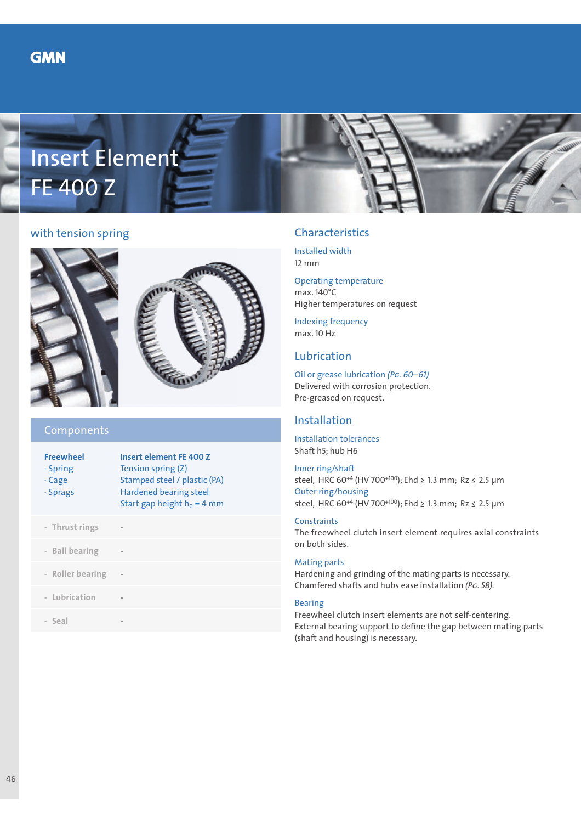



# with tension spring



# Components

| <b>Freewheel</b><br>$\cdot$ Spring<br>$\cdot$ Cage<br>$\cdot$ Sprags | Insert element FF 400 7<br>Tension spring (Z)<br>Stamped steel / plastic (PA)<br><b>Hardened bearing steel</b><br>Start gap height $h_0 = 4$ mm |
|----------------------------------------------------------------------|-------------------------------------------------------------------------------------------------------------------------------------------------|
| - Thrust rings                                                       |                                                                                                                                                 |
| - Ball bearing                                                       |                                                                                                                                                 |
| - Roller bearing                                                     |                                                                                                                                                 |
| - Lubrication                                                        |                                                                                                                                                 |
| - Seal                                                               |                                                                                                                                                 |
|                                                                      |                                                                                                                                                 |

# Characteristics

Installed width 12 mm

Operating temperature max. 140°C Higher temperatures on request

Indexing frequency max. 10 Hz

## Lubrication

Oil or grease lubrication *(Pg. 60–61)* Delivered with corrosion protection. Pre-greased on request.

## Installation

Installation tolerances Shaft h5; hub H6

Inner ring/shaft steel, HRC 60+4 (HV 700+100); Ehd ≥ 1.3 mm; Rz ≤ 2.5 µm Outer ring/housing steel, HRC 60<sup>+4</sup> (HV 700<sup>+100</sup>); Ehd ≥ 1.3 mm; Rz ≤ 2.5 µm

### **Constraints**

The freewheel clutch insert element requires axial constraints on both sides.

### Mating parts

Hardening and grinding of the mating parts is necessary. Chamfered shafts and hubs ease installation *(Pg. 58).*

#### Bearing

Freewheel clutch insert elements are not self-centering. External bearing support to define the gap between mating parts (shaft and housing) is necessary.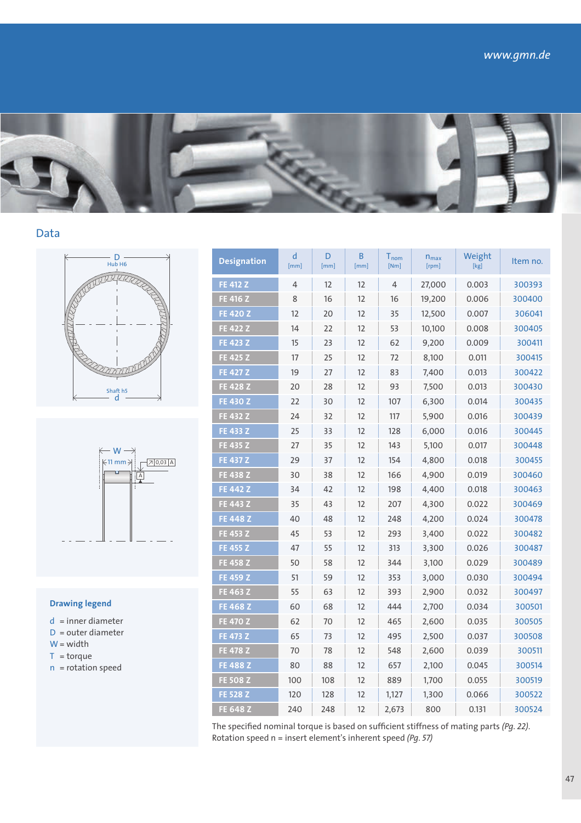





### **Drawing legend**

- d = inner diameter
- D = outer diameter
- $W = width$
- $T = torque$
- $n =$  rotation speed

| <b>Designation</b> | d<br>[mm] | D<br>[mm] | В<br>[mm] | $\mathsf{I}_{\mathsf{nom}}$<br>[Nm] | $n_{max}$<br>[rpm] | Weight<br>[kg] | Item no. |
|--------------------|-----------|-----------|-----------|-------------------------------------|--------------------|----------------|----------|
| <b>FE 412 Z</b>    | 4         | 12        | 12        | 4                                   | 27,000             | 0.003          | 300393   |
| <b>FE 416 Z</b>    | 8         | 16        | 12        | 16                                  | 19,200             | 0.006          | 300400   |
| <b>FE 420 Z</b>    | 12        | 20        | 12        | 35                                  | 12,500             | 0.007          | 306041   |
| <b>FE 422 Z</b>    | 14        | 22        | 12        | 53                                  | 10,100             | 0.008          | 300405   |
| <b>FE 423 Z</b>    | 15        | 23        | 12        | 62                                  | 9,200              | 0.009          | 300411   |
| <b>FE 425 Z</b>    | 17        | 25        | 12        | 72                                  | 8,100              | 0.011          | 300415   |
| <b>FE 427 Z</b>    | 19        | 27        | 12        | 83                                  | 7,400              | 0.013          | 300422   |
| <b>FE 428 Z</b>    | 20        | 28        | 12        | 93                                  | 7,500              | 0.013          | 300430   |
| <b>FE 430 Z</b>    | 22        | 30        | 12        | 107                                 | 6,300              | 0.014          | 300435   |
| <b>FE 432 Z</b>    | 24        | 32        | 12        | 117                                 | 5,900              | 0.016          | 300439   |
| <b>FE 433 Z</b>    | 25        | 33        | 12        | 128                                 | 6,000              | 0.016          | 300445   |
| FE 435 Z           | 27        | 35        | 12        | 143                                 | 5,100              | 0.017          | 300448   |
| <b>FE 437 Z</b>    | 29        | 37        | 12        | 154                                 | 4,800              | 0.018          | 300455   |
| FE 438 Z           | 30        | 38        | 12        | 166                                 | 4,900              | 0.019          | 300460   |
| <b>FE 442 Z</b>    | 34        | 42        | 12        | 198                                 | 4,400              | 0.018          | 300463   |
| FE 443 Z           | 35        | 43        | 12        | 207                                 | 4,300              | 0.022          | 300469   |
| <b>FE 448 Z</b>    | 40        | 48        | 12        | 248                                 | 4,200              | 0.024          | 300478   |
| FE 453 Z           | 45        | 53        | 12        | 293                                 | 3,400              | 0.022          | 300482   |
| FE 455 Z           | 47        | 55        | 12        | 313                                 | 3,300              | 0.026          | 300487   |
| <b>FE 458 Z</b>    | 50        | 58        | 12        | 344                                 | 3,100              | 0.029          | 300489   |
| FE 459 Z           | 51        | 59        | 12        | 353                                 | 3,000              | 0.030          | 300494   |
| FE 463 Z           | 55        | 63        | 12        | 393                                 | 2,900              | 0.032          | 300497   |
| <b>FE 468 Z</b>    | 60        | 68        | 12        | 444                                 | 2,700              | 0.034          | 300501   |
| <b>FE 470 Z</b>    | 62        | 70        | 12        | 465                                 | 2,600              | 0.035          | 300505   |
| <b>FE 473 Z</b>    | 65        | 73        | 12        | 495                                 | 2,500              | 0.037          | 300508   |
| <b>FE 478 Z</b>    | 70        | 78        | 12        | 548                                 | 2,600              | 0.039          | 300511   |
| <b>FE 488 Z</b>    | 80        | 88        | 12        | 657                                 | 2,100              | 0.045          | 300514   |
| <b>FE 508 Z</b>    | 100       | 108       | 12        | 889                                 | 1,700              | 0.055          | 300519   |
| <b>FE 528 Z</b>    | 120       | 128       | 12        | 1,127                               | 1,300              | 0.066          | 300522   |
| <b>FE 648 Z</b>    | 240       | 248       | 12        | 2,673                               | 800                | 0.131          | 300524   |

The specified nominal torque is based on sufficient stiffness of mating parts *(Pg. 22)*. Rotation speed n = insert element's inherent speed *(Pg. 57)*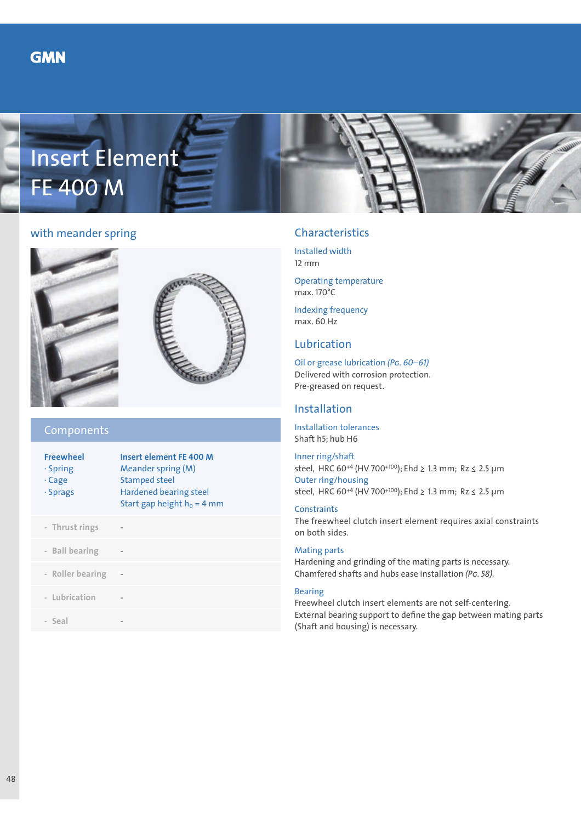



# with meander spring



### Components

| <b>Freewheel</b><br>$\cdot$ Spring<br>$\cdot$ Cage<br>· Sprags | <b>Insert element FE 400 M</b><br>Meander spring (M)<br><b>Stamped steel</b><br><b>Hardened bearing steel</b><br>Start gap height $h_0 = 4$ mm |
|----------------------------------------------------------------|------------------------------------------------------------------------------------------------------------------------------------------------|
| - Thrust rings                                                 |                                                                                                                                                |
| - Ball bearing                                                 |                                                                                                                                                |
| - Roller bearing                                               |                                                                                                                                                |
| - Lubrication                                                  |                                                                                                                                                |
| - Seal                                                         |                                                                                                                                                |

# Characteristics

Installed width 12 mm

Operating temperature max. 170°C

Indexing frequency max. 60 Hz

# Lubrication

Oil or grease lubrication *(Pg. 60–61)* Delivered with corrosion protection. Pre-greased on request.

## Installation

Installation tolerances Shaft h5; hub H6

Inner ring/shaft steel, HRC 60+4 (HV 700+100); Ehd ≥ 1.3 mm; Rz ≤ 2.5 µm Outer ring/housing steel, HRC 60+4 (HV 700+100); Ehd ≥ 1.3 mm; Rz ≤ 2.5 µm

### **Constraints**

The freewheel clutch insert element requires axial constraints on both sides.

### Mating parts

Hardening and grinding of the mating parts is necessary. Chamfered shafts and hubs ease installation *(Pg. 58).*

#### Bearing

Freewheel clutch insert elements are not self-centering. External bearing support to define the gap between mating parts (Shaft and housing) is necessary.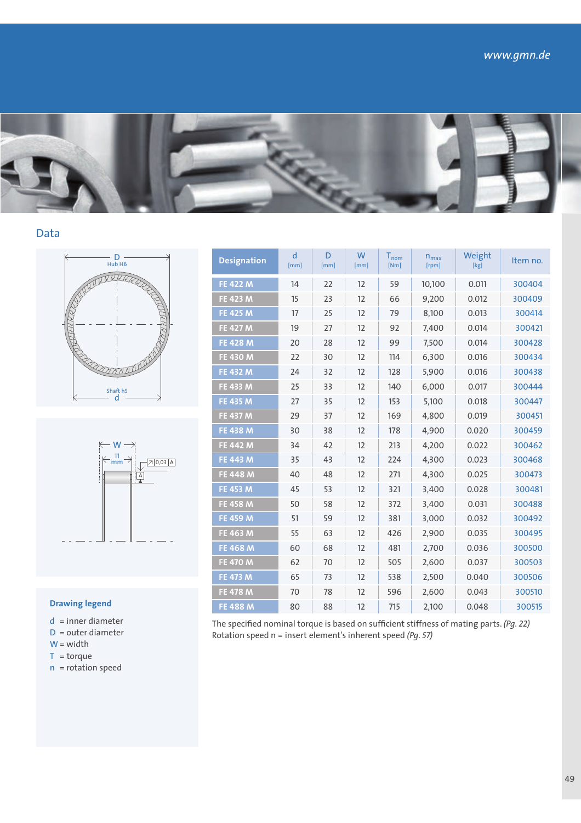





### **Drawing legend**

- d = inner diameter
- D = outer diameter
- $W = width$
- $T = torque$
- n = rotation speed

| <b>Designation</b> | d<br>[mm] | D<br>[mm] | W<br>[mm] | $T_{nom}$<br>[Nm] | $n_{max}$<br>[rpm] | Weight<br>[kg] | Item no. |
|--------------------|-----------|-----------|-----------|-------------------|--------------------|----------------|----------|
| <b>FE 422 M</b>    | 14        | 22        | 12        | 59                | 10,100             | 0.011          | 300404   |
| <b>FE 423 M</b>    | 15        | 23        | 12        | 66                | 9,200              | 0.012          | 300409   |
| <b>FE 425 M</b>    | 17        | 25        | 12        | 79                | 8,100              | 0.013          | 300414   |
| <b>FE 427 M</b>    | 19        | 27        | 12        | 92                | 7,400              | 0.014          | 300421   |
| <b>FE 428 M</b>    | 20        | 28        | 12        | 99                | 7,500              | 0.014          | 300428   |
| <b>FE 430 M</b>    | 22        | 30        | 12        | 114               | 6,300              | 0.016          | 300434   |
| <b>FE 432 M</b>    | 24        | 32        | 12        | 128               | 5,900              | 0.016          | 300438   |
| <b>FE 433 M</b>    | 25        | 33        | 12        | 140               | 6,000              | 0.017          | 300444   |
| <b>FE 435 M</b>    | 27        | 35        | 12        | 153               | 5,100              | 0.018          | 300447   |
| <b>FE 437 M</b>    | 29        | 37        | 12        | 169               | 4,800              | 0.019          | 300451   |
| <b>FE 438 M</b>    | 30        | 38        | 12        | 178               | 4,900              | 0.020          | 300459   |
| <b>FE 442 M</b>    | 34        | 42        | 12        | 213               | 4,200              | 0.022          | 300462   |
| <b>FE 443 M</b>    | 35        | 43        | 12        | 224               | 4,300              | 0.023          | 300468   |
| <b>FE 448 M</b>    | 40        | 48        | 12        | 271               | 4,300              | 0.025          | 300473   |
| FE 453 M           | 45        | 53        | 12        | 321               | 3,400              | 0.028          | 300481   |
| <b>FE 458 M</b>    | 50        | 58        | 12        | 372               | 3,400              | 0.031          | 300488   |
| <b>FE 459 M</b>    | 51        | 59        | 12        | 381               | 3,000              | 0.032          | 300492   |
| FE 463 M           | 55        | 63        | 12        | 426               | 2,900              | 0.035          | 300495   |
| <b>FE 468 M</b>    | 60        | 68        | 12        | 481               | 2,700              | 0.036          | 300500   |
| <b>FE 470 M</b>    | 62        | 70        | 12        | 505               | 2,600              | 0.037          | 300503   |
| <b>FE 473 M</b>    | 65        | 73        | 12        | 538               | 2,500              | 0.040          | 300506   |
| <b>FE 478 M</b>    | 70        | 78        | 12        | 596               | 2,600              | 0.043          | 300510   |
| <b>FE 488 M</b>    | 80        | 88        | 12        | 715               | 2,100              | 0.048          | 300515   |

The specified nominal torque is based on sufficient stiffness of mating parts. *(Pg. 22)*  Rotation speed n = insert element's inherent speed *(Pg. 57)*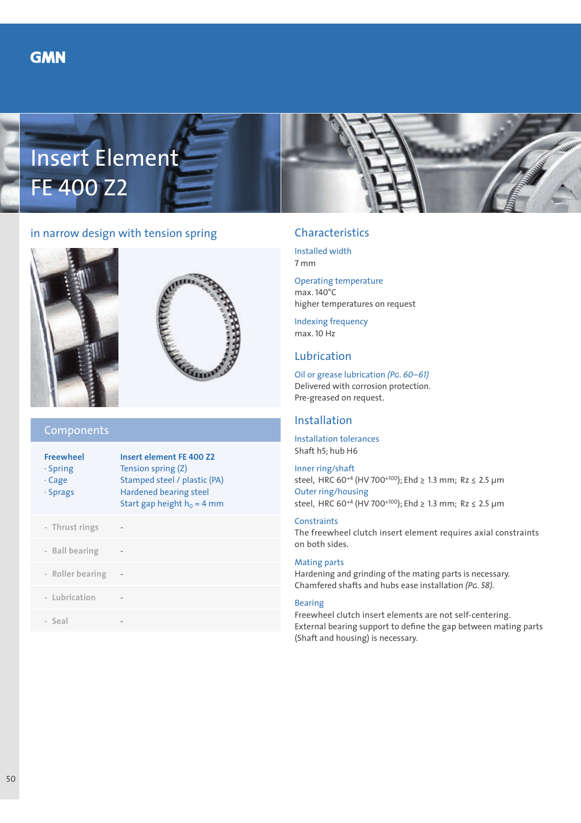



# in narrow design with tension spring





### Components

| <b>Insert element FE 400 Z2</b><br>Tension spring (Z)<br>Stamped steel / plastic (PA)<br><b>Hardened bearing steel</b><br>Start gap height $h_0 = 4$ mm |
|---------------------------------------------------------------------------------------------------------------------------------------------------------|
|                                                                                                                                                         |
|                                                                                                                                                         |
|                                                                                                                                                         |
|                                                                                                                                                         |
|                                                                                                                                                         |
|                                                                                                                                                         |

# Characteristics

Installed width 7 mm

Operating temperature max. 140°C higher temperatures on request

Indexing frequency max. 10 Hz

## Lubrication

Oil or grease lubrication *(Pg. 60–61)* Delivered with corrosion protection. Pre-greased on request.

## Installation

Installation tolerances Shaft h5; hub H6

Inner ring/shaft steel, HRC 60+4 (HV 700+100); Ehd ≥ 1.3 mm; Rz ≤ 2.5 µm Outer ring/housing steel, HRC 60+4 (HV 700+100); Ehd ≥ 1.3 mm; Rz ≤ 2.5 µm

### **Constraints**

The freewheel clutch insert element requires axial constraints on both sides.

#### Mating parts

Hardening and grinding of the mating parts is necessary. Chamfered shafts and hubs ease installation *(Pg. 58).*

#### Bearing

Freewheel clutch insert elements are not self-centering. External bearing support to define the gap between mating parts (Shaft and housing) is necessary.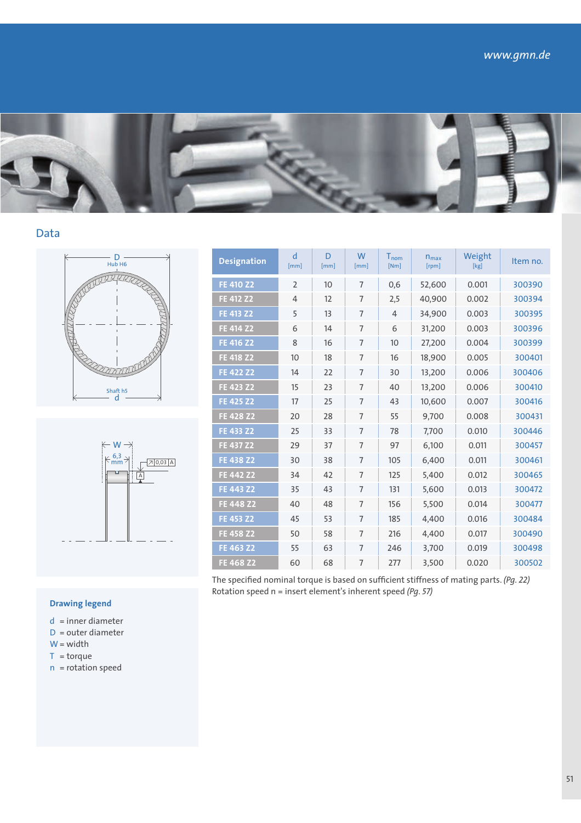





| <b>Designation</b> | d<br>[mm]      | D<br>[mm] | W<br>[mm]      | $T_{nom}$<br>[Nm] | $n_{max}$<br>[rpm] | Weight<br>[kg] | Item no. |
|--------------------|----------------|-----------|----------------|-------------------|--------------------|----------------|----------|
| FE 410 Z2          | $\overline{2}$ | 10        | $\overline{7}$ | 0,6               | 52,600             | 0.001          | 300390   |
| FE 412 Z2          | $\overline{4}$ | 12        | $\overline{7}$ | 2,5               | 40,900             | 0.002          | 300394   |
| FE 413 Z2          | 5              | 13        | $\overline{7}$ | $\overline{4}$    | 34,900             | 0.003          | 300395   |
| FE 414 Z2          | 6              | 14        | $\overline{7}$ | 6                 | 31,200             | 0.003          | 300396   |
| FE 416 Z2          | 8              | 16        | $\overline{7}$ | 10                | 27,200             | 0.004          | 300399   |
| <b>FE 418 Z2</b>   | 10             | 18        | $\overline{7}$ | 16                | 18,900             | 0.005          | 300401   |
| FE 422 Z2          | 14             | 22        | $\overline{7}$ | 30                | 13,200             | 0.006          | 300406   |
| FE 423 Z2          | 15             | 23        | $\overline{7}$ | 40                | 13,200             | 0.006          | 300410   |
| FE 425 Z2          | 17             | 25        | $\overline{7}$ | 43                | 10,600             | 0.007          | 300416   |
| FE 428 Z2          | 20             | 28        | $\overline{7}$ | 55                | 9,700              | 0.008          | 300431   |
| FE 433 Z2          | 25             | 33        | $\overline{7}$ | 78                | 7,700              | 0.010          | 300446   |
| FE 437 Z2          | 29             | 37        | $\overline{7}$ | 97                | 6,100              | 0.011          | 300457   |
| FE 438 Z2          | 30             | 38        | $\overline{7}$ | 105               | 6,400              | 0.011          | 300461   |
| FE 442 Z2          | 34             | 42        | $\overline{7}$ | 125               | 5,400              | 0.012          | 300465   |
| FE 443 Z2          | 35             | 43        | $\overline{7}$ | 131               | 5,600              | 0.013          | 300472   |
| FE 448 Z2          | 40             | 48        | $\overline{7}$ | 156               | 5,500              | 0.014          | 300477   |
| FE 453 Z2          | 45             | 53        | $\overline{7}$ | 185               | 4,400              | 0.016          | 300484   |
| FE 458 Z2          | 50             | 58        | $\overline{7}$ | 216               | 4,400              | 0.017          | 300490   |
| FE 463 Z2          | 55             | 63        | $\overline{7}$ | 246               | 3,700              | 0.019          | 300498   |
| FE 468 Z2          | 60             | 68        | $\overline{7}$ | 277               | 3,500              | 0.020          | 300502   |

The specified nominal torque is based on sufficient stiffness of mating parts. *(Pg. 22)*  Rotation speed n = insert element's inherent speed *(Pg. 57)*

### **Drawing legend**

- d = inner diameter
- D = outer diameter
- $W = width$
- $T = torque$
- $n =$  rotation speed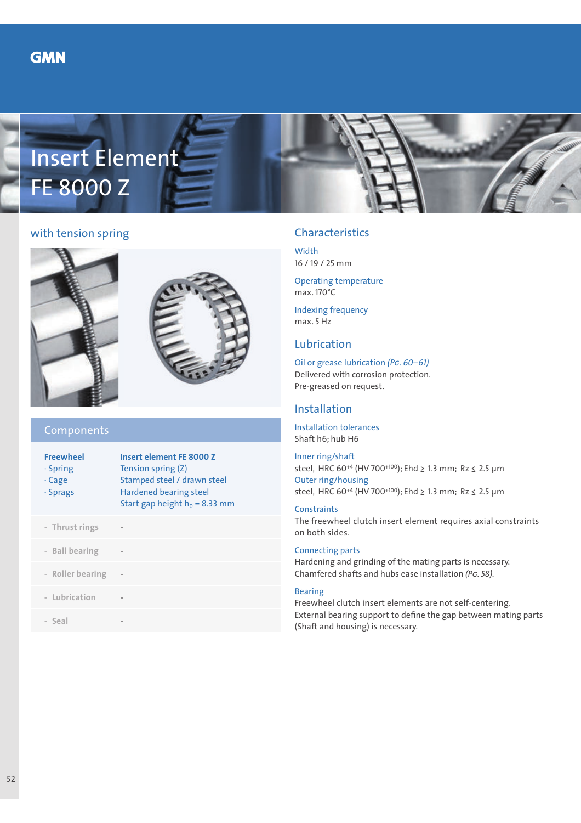



# with tension spring





### Components

| <b>Freewheel</b><br>$\cdot$ Spring<br>$\cdot$ Cage<br>$\cdot$ Sprags | Insert element FE 8000 Z<br>Tension spring (Z)<br>Stamped steel / drawn steel<br><b>Hardened bearing steel</b><br>Start gap height $h_0$ = 8.33 mm |
|----------------------------------------------------------------------|----------------------------------------------------------------------------------------------------------------------------------------------------|
| - Thrust rings                                                       |                                                                                                                                                    |
| - Ball bearing                                                       |                                                                                                                                                    |
| - Roller bearing                                                     |                                                                                                                                                    |
| - Lubrication                                                        |                                                                                                                                                    |
| - Seal                                                               |                                                                                                                                                    |
|                                                                      |                                                                                                                                                    |

# Characteristics

**Width** 16 / 19 / 25 mm

Operating temperature max. 170°C

Indexing frequency max. 5 Hz

## Lubrication

Oil or grease lubrication *(Pg. 60–61)* Delivered with corrosion protection. Pre-greased on request.

## Installation

Installation tolerances Shaft h6; hub H6

Inner ring/shaft steel, HRC 60+4 (HV 700+100); Ehd ≥ 1.3 mm; Rz ≤ 2.5 µm Outer ring/housing steel, HRC 60+4 (HV 700+100); Ehd ≥ 1.3 mm; Rz ≤ 2.5 µm

#### **Constraints**

The freewheel clutch insert element requires axial constraints on both sides.

### Connecting parts

Hardening and grinding of the mating parts is necessary. Chamfered shafts and hubs ease installation *(Pg. 58).*

#### Bearing

Freewheel clutch insert elements are not self-centering. External bearing support to define the gap between mating parts (Shaft and housing) is necessary.